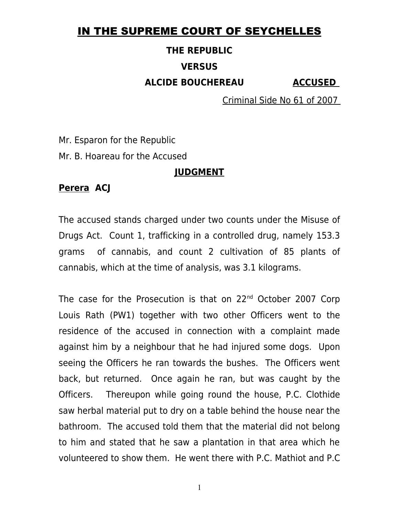## IN THE SUPREME COURT OF SEYCHELLES

# **THE REPUBLIC VERSUS ALCIDE BOUCHEREAU ACCUSED**

Criminal Side No 61 of 2007

Mr. Esparon for the Republic

Mr. B. Hoareau for the Accused

#### **JUDGMENT**

#### **Perera ACJ**

The accused stands charged under two counts under the Misuse of Drugs Act. Count 1, trafficking in a controlled drug, namely 153.3 grams of cannabis, and count 2 cultivation of 85 plants of cannabis, which at the time of analysis, was 3.1 kilograms.

The case for the Prosecution is that on 22<sup>nd</sup> October 2007 Corp Louis Rath (PW1) together with two other Officers went to the residence of the accused in connection with a complaint made against him by a neighbour that he had injured some dogs. Upon seeing the Officers he ran towards the bushes. The Officers went back, but returned. Once again he ran, but was caught by the Officers. Thereupon while going round the house, P.C. Clothide saw herbal material put to dry on a table behind the house near the bathroom. The accused told them that the material did not belong to him and stated that he saw a plantation in that area which he volunteered to show them. He went there with P.C. Mathiot and P.C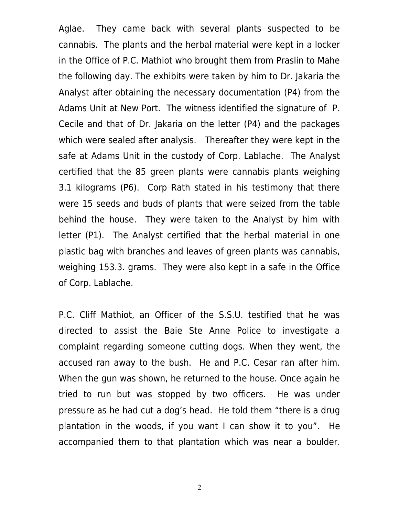Aglae. They came back with several plants suspected to be cannabis. The plants and the herbal material were kept in a locker in the Office of P.C. Mathiot who brought them from Praslin to Mahe the following day. The exhibits were taken by him to Dr. Jakaria the Analyst after obtaining the necessary documentation (P4) from the Adams Unit at New Port. The witness identified the signature of P. Cecile and that of Dr. Jakaria on the letter (P4) and the packages which were sealed after analysis. Thereafter they were kept in the safe at Adams Unit in the custody of Corp. Lablache. The Analyst certified that the 85 green plants were cannabis plants weighing 3.1 kilograms (P6). Corp Rath stated in his testimony that there were 15 seeds and buds of plants that were seized from the table behind the house. They were taken to the Analyst by him with letter (P1). The Analyst certified that the herbal material in one plastic bag with branches and leaves of green plants was cannabis, weighing 153.3. grams. They were also kept in a safe in the Office of Corp. Lablache.

P.C. Cliff Mathiot, an Officer of the S.S.U. testified that he was directed to assist the Baie Ste Anne Police to investigate a complaint regarding someone cutting dogs. When they went, the accused ran away to the bush. He and P.C. Cesar ran after him. When the gun was shown, he returned to the house. Once again he tried to run but was stopped by two officers. He was under pressure as he had cut a dog's head. He told them "there is a drug plantation in the woods, if you want I can show it to you". He accompanied them to that plantation which was near a boulder.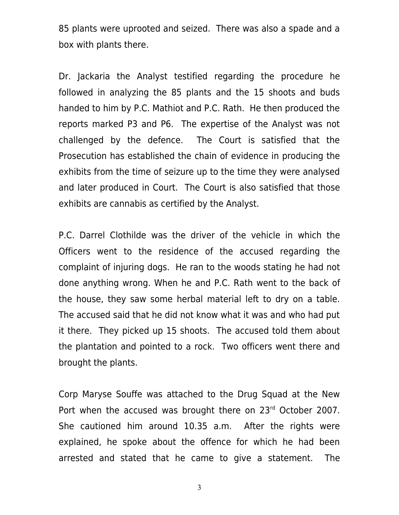85 plants were uprooted and seized. There was also a spade and a box with plants there.

Dr. Jackaria the Analyst testified regarding the procedure he followed in analyzing the 85 plants and the 15 shoots and buds handed to him by P.C. Mathiot and P.C. Rath. He then produced the reports marked P3 and P6. The expertise of the Analyst was not challenged by the defence. The Court is satisfied that the Prosecution has established the chain of evidence in producing the exhibits from the time of seizure up to the time they were analysed and later produced in Court. The Court is also satisfied that those exhibits are cannabis as certified by the Analyst.

P.C. Darrel Clothilde was the driver of the vehicle in which the Officers went to the residence of the accused regarding the complaint of injuring dogs. He ran to the woods stating he had not done anything wrong. When he and P.C. Rath went to the back of the house, they saw some herbal material left to dry on a table. The accused said that he did not know what it was and who had put it there. They picked up 15 shoots. The accused told them about the plantation and pointed to a rock. Two officers went there and brought the plants.

Corp Maryse Souffe was attached to the Drug Squad at the New Port when the accused was brought there on 23rd October 2007. She cautioned him around 10.35 a.m. After the rights were explained, he spoke about the offence for which he had been arrested and stated that he came to give a statement. The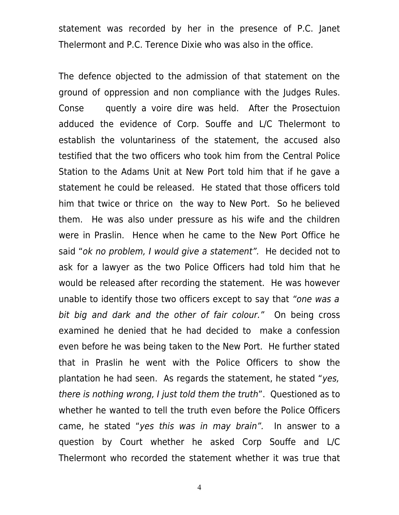statement was recorded by her in the presence of P.C. Janet Thelermont and P.C. Terence Dixie who was also in the office.

The defence objected to the admission of that statement on the ground of oppression and non compliance with the Judges Rules. Conse quently a voire dire was held. After the Prosectuion adduced the evidence of Corp. Souffe and L/C Thelermont to establish the voluntariness of the statement, the accused also testified that the two officers who took him from the Central Police Station to the Adams Unit at New Port told him that if he gave a statement he could be released. He stated that those officers told him that twice or thrice on the way to New Port. So he believed them. He was also under pressure as his wife and the children were in Praslin. Hence when he came to the New Port Office he said "ok no problem, I would give a statement". He decided not to ask for a lawyer as the two Police Officers had told him that he would be released after recording the statement. He was however unable to identify those two officers except to say that "one was a bit big and dark and the other of fair colour." On being cross examined he denied that he had decided to make a confession even before he was being taken to the New Port. He further stated that in Praslin he went with the Police Officers to show the plantation he had seen. As regards the statement, he stated "yes, there is nothing wrong, I just told them the truth". Questioned as to whether he wanted to tell the truth even before the Police Officers came, he stated "yes this was in may brain". In answer to a question by Court whether he asked Corp Souffe and L/C Thelermont who recorded the statement whether it was true that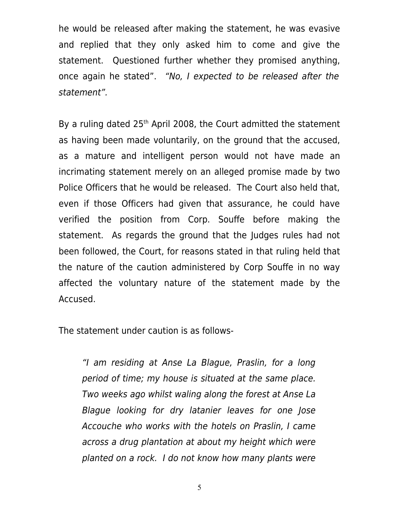he would be released after making the statement, he was evasive and replied that they only asked him to come and give the statement. Questioned further whether they promised anything, once again he stated". "No, I expected to be released after the statement".

By a ruling dated  $25<sup>th</sup>$  April 2008, the Court admitted the statement as having been made voluntarily, on the ground that the accused, as a mature and intelligent person would not have made an incrimating statement merely on an alleged promise made by two Police Officers that he would be released. The Court also held that, even if those Officers had given that assurance, he could have verified the position from Corp. Souffe before making the statement. As regards the ground that the Judges rules had not been followed, the Court, for reasons stated in that ruling held that the nature of the caution administered by Corp Souffe in no way affected the voluntary nature of the statement made by the Accused.

The statement under caution is as follows-

"I am residing at Anse La Blague, Praslin, for a long period of time; my house is situated at the same place. Two weeks ago whilst waling along the forest at Anse La Blague looking for dry latanier leaves for one Jose Accouche who works with the hotels on Praslin, I came across a drug plantation at about my height which were planted on a rock. I do not know how many plants were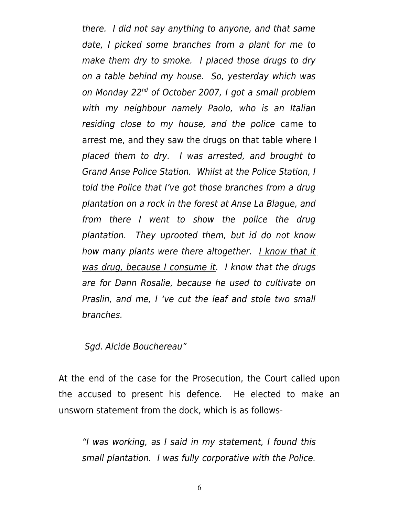there. I did not say anything to anyone, and that same date, I picked some branches from a plant for me to make them dry to smoke. I placed those drugs to dry on a table behind my house. So, yesterday which was on Monday 22<sup>nd</sup> of October 2007, I got a small problem with my neighbour namely Paolo, who is an Italian residing close to my house, and the police came to arrest me, and they saw the drugs on that table where I placed them to dry. I was arrested, and brought to Grand Anse Police Station. Whilst at the Police Station, I told the Police that I've got those branches from a drug plantation on a rock in the forest at Anse La Blague, and from there I went to show the police the drug plantation. They uprooted them, but id do not know how many plants were there altogether. I know that it was drug, because I consume it. I know that the drugs are for Dann Rosalie, because he used to cultivate on Praslin, and me, I 've cut the leaf and stole two small branches.

Sgd. Alcide Bouchereau"

At the end of the case for the Prosecution, the Court called upon the accused to present his defence. He elected to make an unsworn statement from the dock, which is as follows-

"I was working, as I said in my statement, I found this small plantation. I was fully corporative with the Police.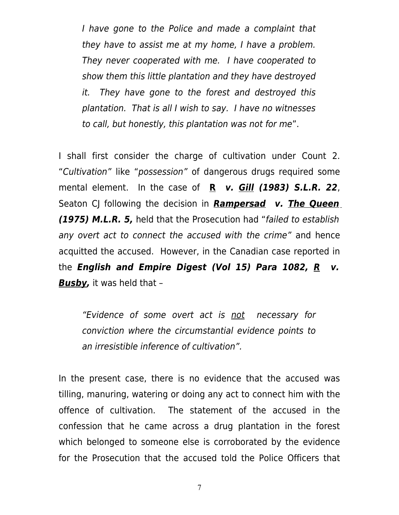I have gone to the Police and made a complaint that they have to assist me at my home, I have a problem. They never cooperated with me. I have cooperated to show them this little plantation and they have destroyed it. They have gone to the forest and destroyed this plantation. That is all I wish to say. I have no witnesses to call, but honestly, this plantation was not for me".

I shall first consider the charge of cultivation under Count 2. "Cultivation" like "possession" of dangerous drugs required some mental element. In the case of **R v. Gill (1983) S.L.R. 22**, Seaton CJ following the decision in **Rampersad v. The Queen (1975) M.L.R. 5,** held that the Prosecution had "failed to establish any overt act to connect the accused with the crime" and hence acquitted the accused. However, in the Canadian case reported in the **English and Empire Digest (Vol 15) Para 1082, R v. Busby,** it was held that –

"Evidence of some overt act is not necessary for conviction where the circumstantial evidence points to an irresistible inference of cultivation".

In the present case, there is no evidence that the accused was tilling, manuring, watering or doing any act to connect him with the offence of cultivation. The statement of the accused in the confession that he came across a drug plantation in the forest which belonged to someone else is corroborated by the evidence for the Prosecution that the accused told the Police Officers that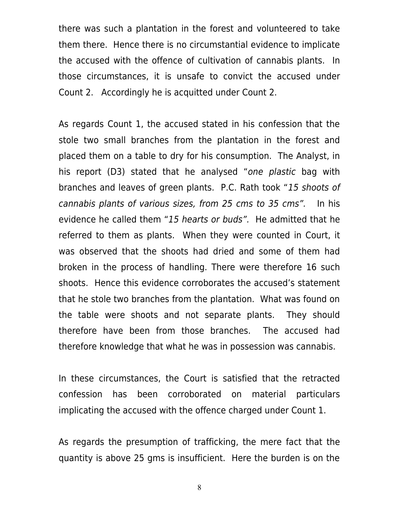there was such a plantation in the forest and volunteered to take them there. Hence there is no circumstantial evidence to implicate the accused with the offence of cultivation of cannabis plants. In those circumstances, it is unsafe to convict the accused under Count 2. Accordingly he is acquitted under Count 2.

As regards Count 1, the accused stated in his confession that the stole two small branches from the plantation in the forest and placed them on a table to dry for his consumption. The Analyst, in his report (D3) stated that he analysed "one plastic bag with branches and leaves of green plants. P.C. Rath took "15 shoots of cannabis plants of various sizes, from 25 cms to 35 cms". In his evidence he called them "15 hearts or buds". He admitted that he referred to them as plants. When they were counted in Court, it was observed that the shoots had dried and some of them had broken in the process of handling. There were therefore 16 such shoots. Hence this evidence corroborates the accused's statement that he stole two branches from the plantation. What was found on the table were shoots and not separate plants. They should therefore have been from those branches. The accused had therefore knowledge that what he was in possession was cannabis.

In these circumstances, the Court is satisfied that the retracted confession has been corroborated on material particulars implicating the accused with the offence charged under Count 1.

As regards the presumption of trafficking, the mere fact that the quantity is above 25 gms is insufficient. Here the burden is on the